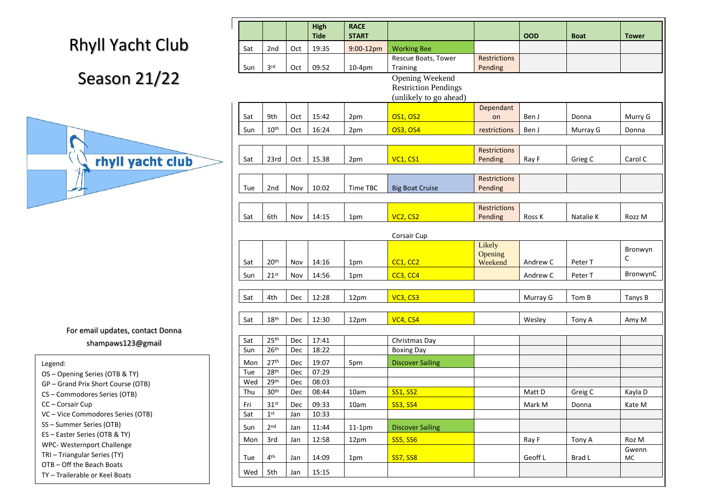# Rhyll Yacht Club

#### Season 21/22



|            |                                      |            | <b>High</b><br><b>Tide</b> | <b>RACE</b><br><b>START</b> |                                                                                 |                                | <b>OOD</b> | <b>Boat</b> | <b>Tower</b> |
|------------|--------------------------------------|------------|----------------------------|-----------------------------|---------------------------------------------------------------------------------|--------------------------------|------------|-------------|--------------|
| Sat        | 2nd                                  | Oct        | 19:35                      | 9:00-12pm                   | <b>Working Bee</b>                                                              |                                |            |             |              |
|            |                                      |            |                            |                             | Rescue Boats, Tower                                                             | <b>Restrictions</b>            |            |             |              |
| Sun        | 3 <sup>rd</sup>                      | Oct        | 09:52                      | $10-4pm$                    | Training                                                                        | Pending                        |            |             |              |
|            |                                      |            |                            |                             | <b>Opening Weekend</b><br><b>Restriction Pendings</b><br>(unlikely to go ahead) |                                |            |             |              |
| Sat        | 9th                                  | Oct        | 15:42                      | 2pm                         | <b>OS1, OS2</b>                                                                 | Dependant<br>on                | Ben J      | Donna       | Murry G      |
| Sun        | 10 <sup>th</sup>                     | Oct        | 16:24                      | 2pm                         | <b>OS3, OS4</b>                                                                 | restrictions                   | Ben J      | Murray G    | Donna        |
|            |                                      |            |                            |                             |                                                                                 |                                |            |             |              |
| Sat        | 23rd                                 | Oct        | 15.38                      | 2pm                         | <b>VC1, CS1</b>                                                                 | <b>Restrictions</b><br>Pending | Ray F      | Grieg C     | Carol C      |
|            |                                      |            |                            |                             |                                                                                 |                                |            |             |              |
|            |                                      |            |                            | Time TBC                    |                                                                                 | <b>Restrictions</b>            |            |             |              |
| Tue        | 2 <sub>nd</sub>                      | Nov        | 10:02                      |                             | <b>Big Boat Cruise</b>                                                          | Pending                        |            |             |              |
|            |                                      |            |                            |                             |                                                                                 | <b>Restrictions</b>            |            |             |              |
| Sat        | 6th                                  | Nov        | 14:15                      | 1pm                         | VC <sub>2</sub> , CS <sub>2</sub>                                               | Pending                        | Ross K     | Natalie K   | Rozz M       |
|            |                                      |            |                            |                             | Corsair Cup                                                                     |                                |            |             |              |
|            |                                      |            |                            |                             |                                                                                 | Likely                         |            |             | Bronwyn      |
| Sat        | 20 <sup>th</sup>                     | Nov        | 14:16                      | 1pm                         | CC1, CC2                                                                        | Opening<br>Weekend             | Andrew C   | Peter T     | C            |
| Sun        | 21 <sup>st</sup>                     | Nov        | 14:56                      | 1pm                         | CC3, CC4                                                                        |                                | Andrew C   | Peter T     | BronwynC     |
|            |                                      |            |                            |                             |                                                                                 |                                |            |             |              |
| Sat        | 4th                                  | Dec        | 12:28                      | 12pm                        | VC3, CS3                                                                        |                                | Murray G   | Tom B       | Tanys B      |
|            |                                      |            |                            |                             |                                                                                 |                                |            |             |              |
| Sat        | 18 <sup>th</sup>                     | Dec        | 12:30                      | 12pm                        | VC4, CS4                                                                        |                                | Wesley     | Tony A      | Amy M        |
|            |                                      |            |                            |                             |                                                                                 |                                |            |             |              |
| Sat        | 25 <sup>th</sup>                     | Dec        | 17:41                      |                             | Christmas Day                                                                   |                                |            |             |              |
| Sun        | 26 <sup>th</sup>                     | Dec        | 18:22                      |                             | <b>Boxing Day</b>                                                               |                                |            |             |              |
| Mon        | 27 <sup>th</sup>                     | Dec        | 19:07                      | 5pm                         | <b>Discover Sailing</b>                                                         |                                |            |             |              |
| Tue<br>Wed | 28 <sup>th</sup><br>29 <sup>th</sup> | Dec<br>Dec | 07:29<br>08:03             |                             |                                                                                 |                                |            |             |              |
| Thu        | 30 <sup>th</sup>                     | Dec        | 08:44                      | 10am                        | <b>SS1, SS2</b>                                                                 |                                | Matt D     | Greig C     | Kayla D      |
| Fri        | 31 <sup>st</sup>                     | Dec        | 09:33                      | 10am                        | <b>SS3, SS4</b>                                                                 |                                | Mark M     | Donna       | Kate M       |
| Sat        | 1 <sup>st</sup>                      | Jan        | 10:33                      |                             |                                                                                 |                                |            |             |              |
| Sun        | 2 <sub>nd</sub>                      | Jan        | 11:44                      | $11-1pm$                    | <b>Discover Sailing</b>                                                         |                                |            |             |              |
| Mon        | 3rd                                  | Jan        | 12:58                      | 12pm                        | <b>SS5, SS6</b>                                                                 |                                | Ray F      | Tony A      | Roz M        |
| Tue        | 4 <sup>th</sup>                      | Jan        | 14:09                      | 1pm                         | <b>SS7, SS8</b>                                                                 |                                | Geoff L    | Brad L      | Gwenn<br>MC  |
| Wed        | 5th                                  | Jan        | 15:15                      |                             |                                                                                 |                                |            |             |              |
|            |                                      |            |                            |                             |                                                                                 |                                |            |             |              |

For email updates, contact Donna shampaws123@gmail

Legend:

- OS Opening Series (OTB & TY)
- GP Grand Prix Short Course (OTB)
- CS Commodores Series (OTB)
- CC Corsair Cup
- VC Vice Commodores Series (OTB)
- SS Summer Series (OTB)
- ES Easter Series (OTB & TY)
- WPC- Westernport Challenge
- TRI Triangular Series (TY)
- OTB Off the Beach Boats

SB – Swan Bay Series – Swan Bay Series – Swan Bay Series – Swan Bay Series – Swan Bay Series – Swan Bay Series<br>Swan Bay Series – Swan Bay Series – Swan Bay Series – Swan Bay Series – Swan Bay Series – Swan Bay Series – Sw

TY – Trailerable or Keel Boats